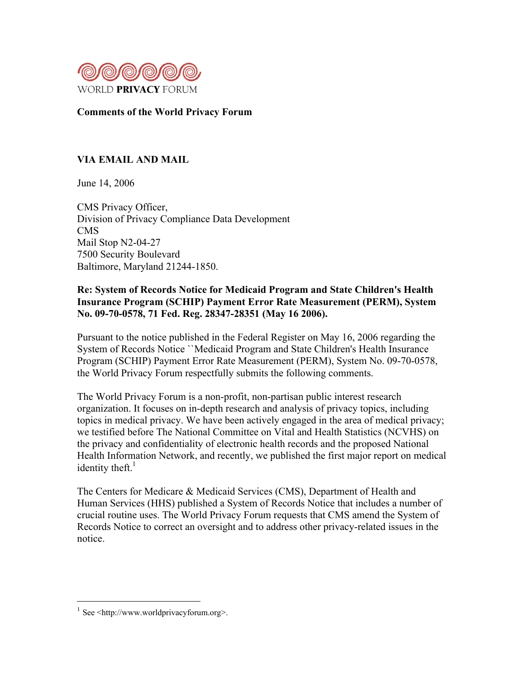

# Comments of the World Privacy Forum

# VIA EMAIL AND MAIL

June 14, 2006

CMS Privacy Officer, Division of Privacy Compliance Data Development CMS Mail Stop N2-04-27 7500 Security Boulevard Baltimore, Maryland 21244-1850.

# Re: System of Records Notice for Medicaid Program and State Children's Health Insurance Program (SCHIP) Payment Error Rate Measurement (PERM), System No. 09-70-0578, 71 Fed. Reg. 28347-28351 (May 16 2006).

Pursuant to the notice published in the Federal Register on May 16, 2006 regarding the System of Records Notice ``Medicaid Program and State Children's Health Insurance Program (SCHIP) Payment Error Rate Measurement (PERM), System No. 09-70-0578, the World Privacy Forum respectfully submits the following comments.

The World Privacy Forum is a non-profit, non-partisan public interest research organization. It focuses on in-depth research and analysis of privacy topics, including topics in medical privacy. We have been actively engaged in the area of medical privacy; we testified before The National Committee on Vital and Health Statistics (NCVHS) on the privacy and confidentiality of electronic health records and the proposed National Health Information Network, and recently, we published the first major report on medical identity theft. $<sup>1</sup>$ </sup>

The Centers for Medicare & Medicaid Services (CMS), Department of Health and Human Services (HHS) published a System of Records Notice that includes a number of crucial routine uses. The World Privacy Forum requests that CMS amend the System of Records Notice to correct an oversight and to address other privacy-related issues in the notice.

 $1$  See  $\leq$ http://www.worldprivacyforum.org>.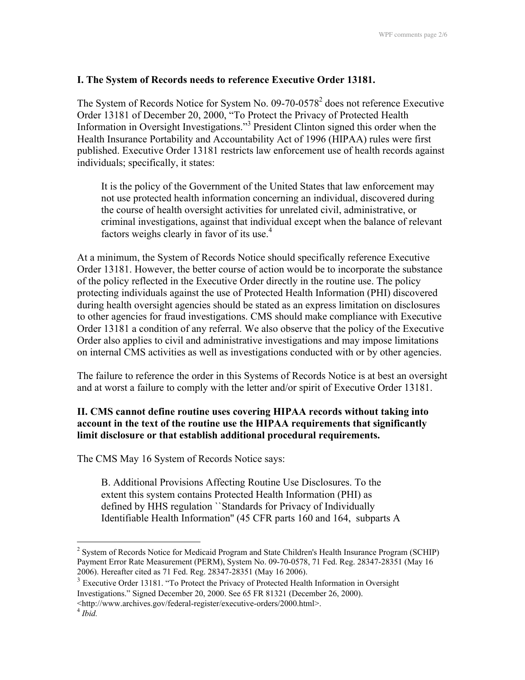### I. The System of Records needs to reference Executive Order 13181.

The System of Records Notice for System No.  $09-70-0578^2$  does not reference Executive Order 13181 of December 20, 2000, "To Protect the Privacy of Protected Health Information in Oversight Investigations."<sup>3</sup> President Clinton signed this order when the Health Insurance Portability and Accountability Act of 1996 (HIPAA) rules were first published. Executive Order 13181 restricts law enforcement use of health records against individuals; specifically, it states:

It is the policy of the Government of the United States that law enforcement may not use protected health information concerning an individual, discovered during the course of health oversight activities for unrelated civil, administrative, or criminal investigations, against that individual except when the balance of relevant factors weighs clearly in favor of its use. $4$ 

At a minimum, the System of Records Notice should specifically reference Executive Order 13181. However, the better course of action would be to incorporate the substance of the policy reflected in the Executive Order directly in the routine use. The policy protecting individuals against the use of Protected Health Information (PHI) discovered during health oversight agencies should be stated as an express limitation on disclosures to other agencies for fraud investigations. CMS should make compliance with Executive Order 13181 a condition of any referral. We also observe that the policy of the Executive Order also applies to civil and administrative investigations and may impose limitations on internal CMS activities as well as investigations conducted with or by other agencies.

The failure to reference the order in this Systems of Records Notice is at best an oversight and at worst a failure to comply with the letter and/or spirit of Executive Order 13181.

## II. CMS cannot define routine uses covering HIPAA records without taking into account in the text of the routine use the HIPAA requirements that significantly limit disclosure or that establish additional procedural requirements.

The CMS May 16 System of Records Notice says:

B. Additional Provisions Affecting Routine Use Disclosures. To the extent this system contains Protected Health Information (PHI) as defined by HHS regulation ``Standards for Privacy of Individually Identifiable Health Information'' (45 CFR parts 160 and 164, subparts A

 $\frac{1}{2}$ <sup>2</sup> System of Records Notice for Medicaid Program and State Children's Health Insurance Program (SCHIP) Payment Error Rate Measurement (PERM), System No. 09-70-0578, 71 Fed. Reg. 28347-28351 (May 16 2006). Hereafter cited as 71 Fed. Reg. 28347-28351 (May 16 2006).

<sup>&</sup>lt;sup>3</sup> Executive Order 13181. "To Protect the Privacy of Protected Health Information in Oversight Investigations." Signed December 20, 2000. See 65 FR 81321 (December 26, 2000). <http://www.archives.gov/federal-register/executive-orders/2000.html>.

<sup>4</sup> *Ibid.*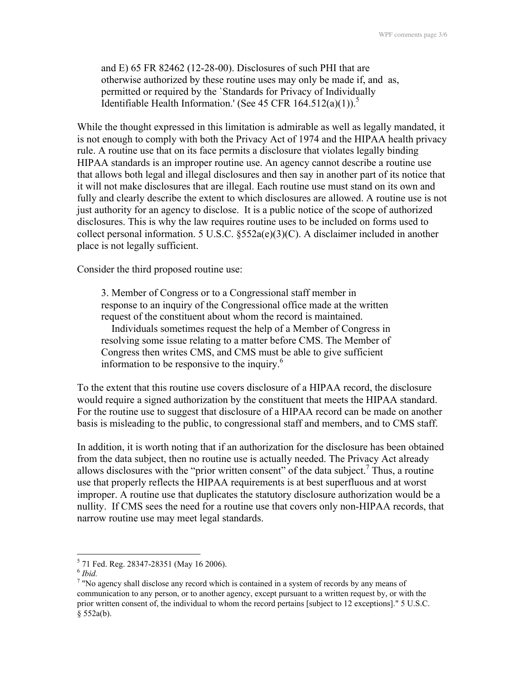and E) 65 FR 82462 (12-28-00). Disclosures of such PHI that are otherwise authorized by these routine uses may only be made if, and as, permitted or required by the `Standards for Privacy of Individually Identifiable Health Information.' (See 45 CFR  $164.512(a)(1)$ ).<sup>5</sup>

While the thought expressed in this limitation is admirable as well as legally mandated, it is not enough to comply with both the Privacy Act of 1974 and the HIPAA health privacy rule. A routine use that on its face permits a disclosure that violates legally binding HIPAA standards is an improper routine use. An agency cannot describe a routine use that allows both legal and illegal disclosures and then say in another part of its notice that it will not make disclosures that are illegal. Each routine use must stand on its own and fully and clearly describe the extent to which disclosures are allowed. A routine use is not just authority for an agency to disclose. It is a public notice of the scope of authorized disclosures. This is why the law requires routine uses to be included on forms used to collect personal information. 5 U.S.C. §552a(e)(3)(C). A disclaimer included in another place is not legally sufficient.

Consider the third proposed routine use:

3. Member of Congress or to a Congressional staff member in response to an inquiry of the Congressional office made at the written request of the constituent about whom the record is maintained.

 Individuals sometimes request the help of a Member of Congress in resolving some issue relating to a matter before CMS. The Member of Congress then writes CMS, and CMS must be able to give sufficient information to be responsive to the inquiry. $<sup>6</sup>$ </sup>

To the extent that this routine use covers disclosure of a HIPAA record, the disclosure would require a signed authorization by the constituent that meets the HIPAA standard. For the routine use to suggest that disclosure of a HIPAA record can be made on another basis is misleading to the public, to congressional staff and members, and to CMS staff.

In addition, it is worth noting that if an authorization for the disclosure has been obtained from the data subject, then no routine use is actually needed. The Privacy Act already allows disclosures with the "prior written consent" of the data subject.<sup>7</sup> Thus, a routine use that properly reflects the HIPAA requirements is at best superfluous and at worst improper. A routine use that duplicates the statutory disclosure authorization would be a nullity. If CMS sees the need for a routine use that covers only non-HIPAA records, that narrow routine use may meet legal standards.

5  $5$  71 Fed. Reg. 28347-28351 (May 16 2006).

<sup>6</sup> *Ibid.*

 $7$  "No agency shall disclose any record which is contained in a system of records by any means of communication to any person, or to another agency, except pursuant to a written request by, or with the prior written consent of, the individual to whom the record pertains [subject to 12 exceptions]." 5 U.S.C. § 552a(b).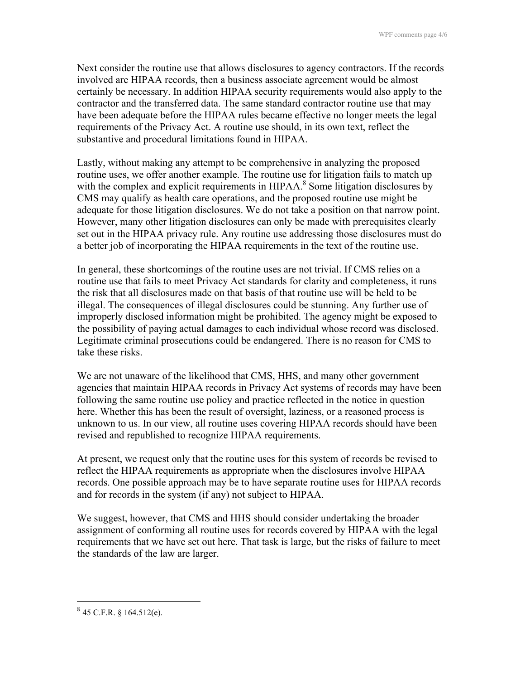Next consider the routine use that allows disclosures to agency contractors. If the records involved are HIPAA records, then a business associate agreement would be almost certainly be necessary. In addition HIPAA security requirements would also apply to the contractor and the transferred data. The same standard contractor routine use that may have been adequate before the HIPAA rules became effective no longer meets the legal requirements of the Privacy Act. A routine use should, in its own text, reflect the substantive and procedural limitations found in HIPAA.

Lastly, without making any attempt to be comprehensive in analyzing the proposed routine uses, we offer another example. The routine use for litigation fails to match up with the complex and explicit requirements in HIPAA.<sup>8</sup> Some litigation disclosures by CMS may qualify as health care operations, and the proposed routine use might be adequate for those litigation disclosures. We do not take a position on that narrow point. However, many other litigation disclosures can only be made with prerequisites clearly set out in the HIPAA privacy rule. Any routine use addressing those disclosures must do a better job of incorporating the HIPAA requirements in the text of the routine use.

In general, these shortcomings of the routine uses are not trivial. If CMS relies on a routine use that fails to meet Privacy Act standards for clarity and completeness, it runs the risk that all disclosures made on that basis of that routine use will be held to be illegal. The consequences of illegal disclosures could be stunning. Any further use of improperly disclosed information might be prohibited. The agency might be exposed to the possibility of paying actual damages to each individual whose record was disclosed. Legitimate criminal prosecutions could be endangered. There is no reason for CMS to take these risks.

We are not unaware of the likelihood that CMS, HHS, and many other government agencies that maintain HIPAA records in Privacy Act systems of records may have been following the same routine use policy and practice reflected in the notice in question here. Whether this has been the result of oversight, laziness, or a reasoned process is unknown to us. In our view, all routine uses covering HIPAA records should have been revised and republished to recognize HIPAA requirements.

At present, we request only that the routine uses for this system of records be revised to reflect the HIPAA requirements as appropriate when the disclosures involve HIPAA records. One possible approach may be to have separate routine uses for HIPAA records and for records in the system (if any) not subject to HIPAA.

We suggest, however, that CMS and HHS should consider undertaking the broader assignment of conforming all routine uses for records covered by HIPAA with the legal requirements that we have set out here. That task is large, but the risks of failure to meet the standards of the law are larger.

 $845$  C.F.R. § 164.512(e).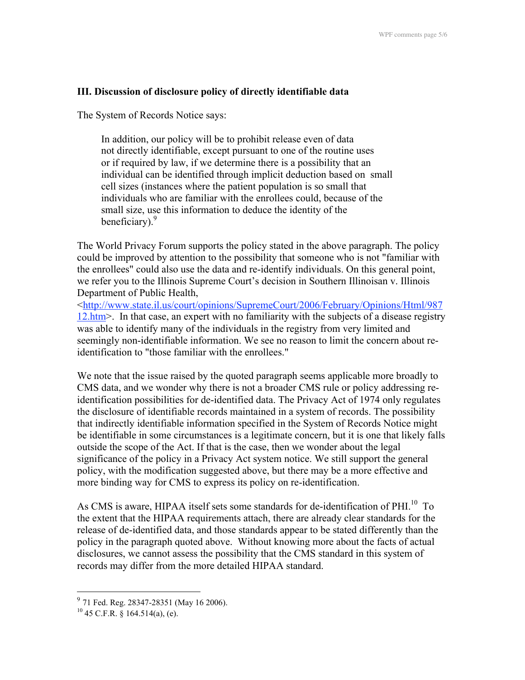## III. Discussion of disclosure policy of directly identifiable data

The System of Records Notice says:

In addition, our policy will be to prohibit release even of data not directly identifiable, except pursuant to one of the routine uses or if required by law, if we determine there is a possibility that an individual can be identified through implicit deduction based on small cell sizes (instances where the patient population is so small that individuals who are familiar with the enrollees could, because of the small size, use this information to deduce the identity of the beneficiary).<sup>9</sup>

The World Privacy Forum supports the policy stated in the above paragraph. The policy could be improved by attention to the possibility that someone who is not "familiar with the enrollees" could also use the data and re-identify individuals. On this general point, we refer you to the Illinois Supreme Court's decision in Southern Illinoisan v. Illinois Department of Public Health,

<http://www.state.il.us/court/opinions/SupremeCourt/2006/February/Opinions/Html/987 12.htm>. In that case, an expert with no familiarity with the subjects of a disease registry was able to identify many of the individuals in the registry from very limited and seemingly non-identifiable information. We see no reason to limit the concern about reidentification to "those familiar with the enrollees."

We note that the issue raised by the quoted paragraph seems applicable more broadly to CMS data, and we wonder why there is not a broader CMS rule or policy addressing reidentification possibilities for de-identified data. The Privacy Act of 1974 only regulates the disclosure of identifiable records maintained in a system of records. The possibility that indirectly identifiable information specified in the System of Records Notice might be identifiable in some circumstances is a legitimate concern, but it is one that likely falls outside the scope of the Act. If that is the case, then we wonder about the legal significance of the policy in a Privacy Act system notice. We still support the general policy, with the modification suggested above, but there may be a more effective and more binding way for CMS to express its policy on re-identification.

As CMS is aware, HIPAA itself sets some standards for de-identification of PHI.<sup>10</sup> To the extent that the HIPAA requirements attach, there are already clear standards for the release of de-identified data, and those standards appear to be stated differently than the policy in the paragraph quoted above. Without knowing more about the facts of actual disclosures, we cannot assess the possibility that the CMS standard in this system of records may differ from the more detailed HIPAA standard.

<sup>&</sup>lt;sup>9</sup> 71 Fed. Reg. 28347-28351 (May 16 2006).

 $^{10}$  45 C.F.R. § 164.514(a), (e).